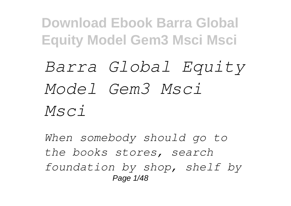## *Barra Global Equity Model Gem3 Msci Msci*

*When somebody should go to the books stores, search foundation by shop, shelf by* Page 1/48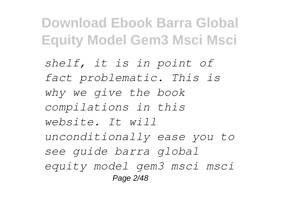*shelf, it is in point of fact problematic. This is why we give the book compilations in this website. It will unconditionally ease you to see guide barra global equity model gem3 msci msci* Page 2/48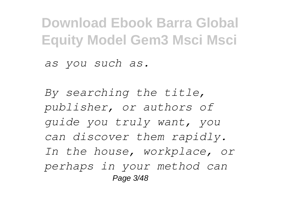*as you such as.*

*By searching the title, publisher, or authors of guide you truly want, you can discover them rapidly. In the house, workplace, or perhaps in your method can* Page 3/48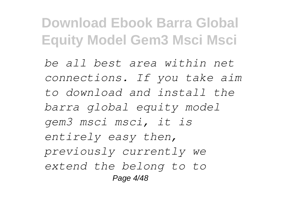*be all best area within net connections. If you take aim to download and install the barra global equity model gem3 msci msci, it is entirely easy then, previously currently we extend the belong to to* Page 4/48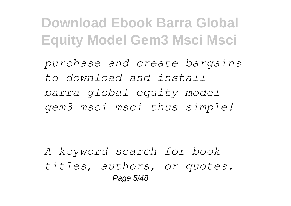*purchase and create bargains to download and install barra global equity model gem3 msci msci thus simple!*

*A keyword search for book titles, authors, or quotes.* Page 5/48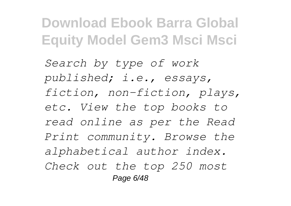*Search by type of work published; i.e., essays, fiction, non-fiction, plays, etc. View the top books to read online as per the Read Print community. Browse the alphabetical author index. Check out the top 250 most* Page 6/48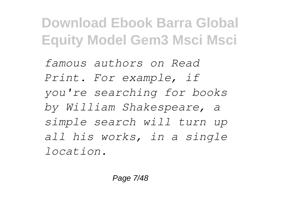*famous authors on Read Print. For example, if you're searching for books by William Shakespeare, a simple search will turn up all his works, in a single location.*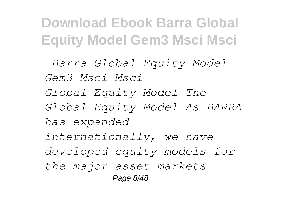*Barra Global Equity Model Gem3 Msci Msci Global Equity Model The Global Equity Model As BARRA has expanded internationally, we have developed equity models for the major asset markets* Page 8/48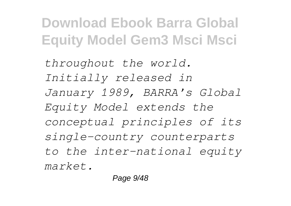*throughout the world. Initially released in January 1989, BARRA's Global Equity Model extends the conceptual principles of its single-country counterparts to the inter-national equity market.*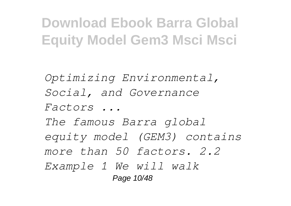*Optimizing Environmental, Social, and Governance Factors ... The famous Barra global equity model (GEM3) contains more than 50 factors. 2.2 Example 1 We will walk* Page 10/48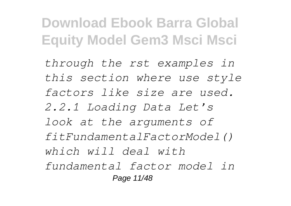*through the rst examples in this section where use style factors like size are used. 2.2.1 Loading Data Let's look at the arguments of fitFundamentalFactorModel() which will deal with fundamental factor model in* Page 11/48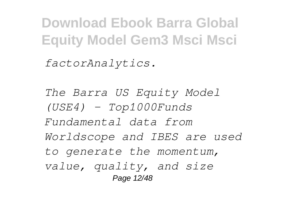*factorAnalytics.*

*The Barra US Equity Model (USE4) - Top1000Funds Fundamental data from Worldscope and IBES are used to generate the momentum, value, quality, and size* Page 12/48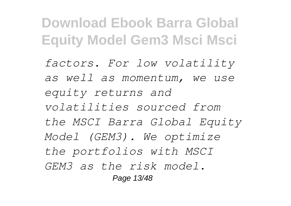*factors. For low volatility as well as momentum, we use equity returns and volatilities sourced from the MSCI Barra Global Equity Model (GEM3). We optimize the portfolios with MSCI GEM3 as the risk model.* Page 13/48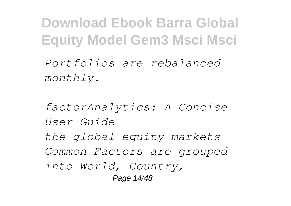*Portfolios are rebalanced monthly.*

*factorAnalytics: A Concise User Guide the global equity markets Common Factors are grouped into World, Country,* Page 14/48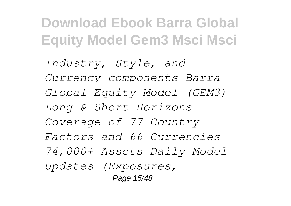*Industry, Style, and Currency components Barra Global Equity Model (GEM3) Long & Short Horizons Coverage of 77 Country Factors and 66 Currencies 74,000+ Assets Daily Model Updates (Exposures,* Page 15/48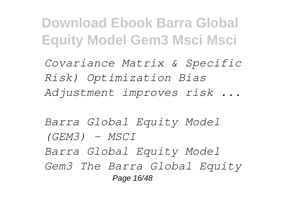*Covariance Matrix & Specific Risk) Optimization Bias Adjustment improves risk ...*

*Barra Global Equity Model (GEM3) - MSCI Barra Global Equity Model Gem3 The Barra Global Equity* Page 16/48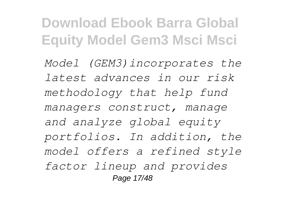*Model (GEM3)incorporates the latest advances in our risk methodology that help fund managers construct, manage and analyze global equity portfolios. In addition, the model offers a refined style factor lineup and provides* Page 17/48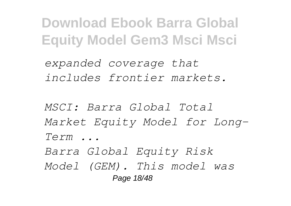*expanded coverage that includes frontier markets.*

*MSCI: Barra Global Total Market Equity Model for Long-Term ...*

*Barra Global Equity Risk*

*Model (GEM). This model was* Page 18/48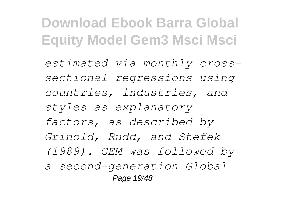*estimated via monthly crosssectional regressions using countries, industries, and styles as explanatory factors, as described by Grinold, Rudd, and Stefek (1989). GEM was followed by a second-generation Global* Page 19/48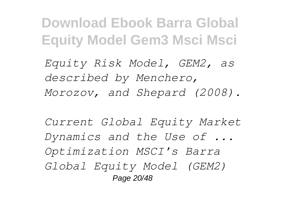*Equity Risk Model, GEM2, as described by Menchero, Morozov, and Shepard (2008).*

*Current Global Equity Market Dynamics and the Use of ... Optimization MSCI's Barra Global Equity Model (GEM2)* Page 20/48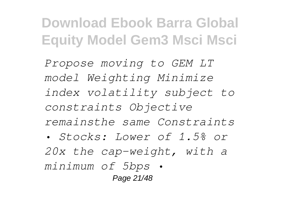*Propose moving to GEM LT model Weighting Minimize index volatility subject to constraints Objective remainsthe same Constraints*

*• Stocks: Lower of 1.5% or 20x the cap-weight, with a minimum of 5bps •* Page 21/48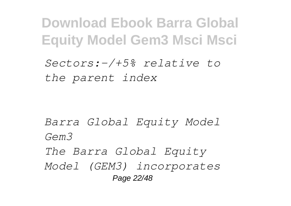*Sectors:-/+5% relative to the parent index*

*Barra Global Equity Model Gem3 The Barra Global Equity Model (GEM3) incorporates*

Page 22/48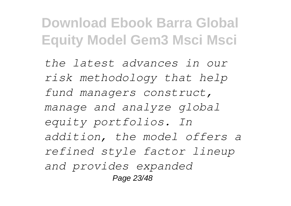*the latest advances in our risk methodology that help fund managers construct, manage and analyze global equity portfolios. In addition, the model offers a refined style factor lineup and provides expanded* Page 23/48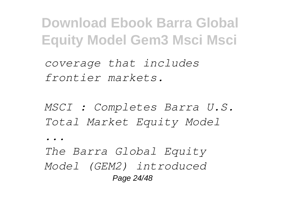*coverage that includes frontier markets.*

*MSCI : Completes Barra U.S. Total Market Equity Model*

*...*

*The Barra Global Equity Model (GEM2) introduced* Page 24/48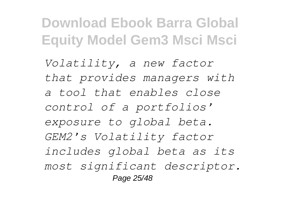*Volatility, a new factor that provides managers with a tool that enables close control of a portfolios' exposure to global beta. GEM2's Volatility factor includes global beta as its most significant descriptor.* Page 25/48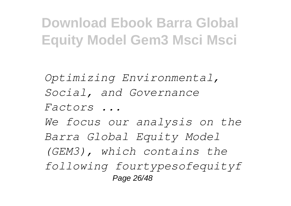*Optimizing Environmental, Social, and Governance Factors ... We focus our analysis on the Barra Global Equity Model (GEM3), which contains the*

*following fourtypesofequityf* Page 26/48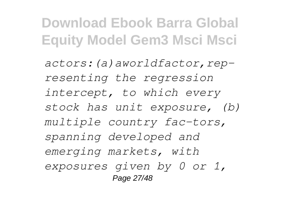*actors:(a)aworldfactor,representing the regression intercept, to which every stock has unit exposure, (b) multiple country fac-tors, spanning developed and emerging markets, with exposures given by 0 or 1,* Page 27/48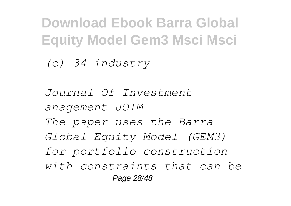*(c) 34 industry*

*Journal Of Investment anagement JOIM The paper uses the Barra Global Equity Model (GEM3) for portfolio construction with constraints that can be* Page 28/48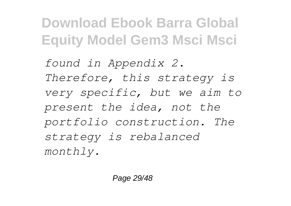*found in Appendix 2. Therefore, this strategy is very specific, but we aim to present the idea, not the portfolio construction. The strategy is rebalanced monthly.*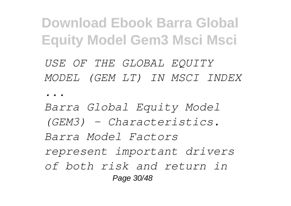*USE OF THE GLOBAL EQUITY MODEL (GEM LT) IN MSCI INDEX ...*

*Barra Global Equity Model (GEM3) – Characteristics. Barra Model Factors represent important drivers of both risk and return in* Page 30/48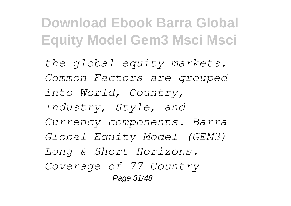*the global equity markets. Common Factors are grouped into World, Country, Industry, Style, and Currency components. Barra Global Equity Model (GEM3) Long & Short Horizons. Coverage of 77 Country* Page 31/48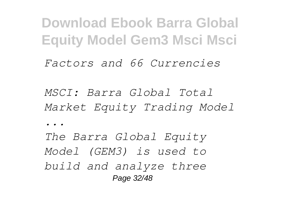*Factors and 66 Currencies*

*MSCI: Barra Global Total Market Equity Trading Model*

*...*

*The Barra Global Equity Model (GEM3) is used to build and analyze three* Page 32/48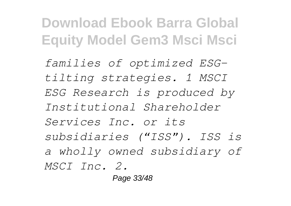*families of optimized ESGtilting strategies. 1 MSCI ESG Research is produced by Institutional Shareholder Services Inc. or its subsidiaries ("ISS"). ISS is a wholly owned subsidiary of MSCI Inc. 2.* Page 33/48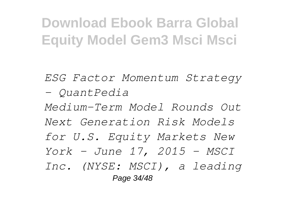*ESG Factor Momentum Strategy - QuantPedia Medium-Term Model Rounds Out Next Generation Risk Models for U.S. Equity Markets New York - June 17, 2015 - MSCI Inc. (NYSE: MSCI), a leading* Page 34/48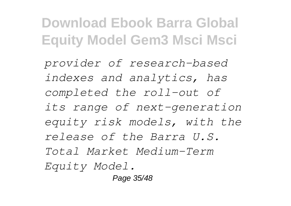*provider of research-based indexes and analytics, has completed the roll-out of its range of next-generation equity risk models, with the release of the Barra U.S. Total Market Medium-Term Equity Model.*

Page 35/48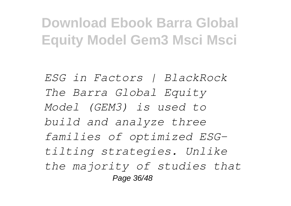*ESG in Factors | BlackRock The Barra Global Equity Model (GEM3) is used to build and analyze three families of optimized ESGtilting strategies. Unlike the majority of studies that* Page 36/48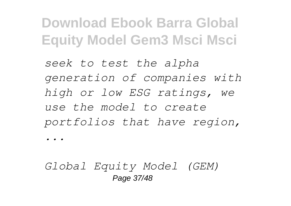*seek to test the alpha generation of companies with high or low ESG ratings, we use the model to create portfolios that have region,*

*...*

*Global Equity Model (GEM)* Page 37/48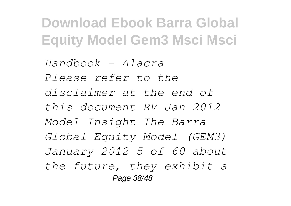*Handbook - Alacra Please refer to the disclaimer at the end of this document RV Jan 2012 Model Insight The Barra Global Equity Model (GEM3) January 2012 5 of 60 about the future, they exhibit a* Page 38/48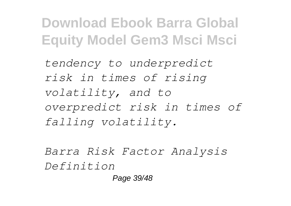*tendency to underpredict risk in times of rising volatility, and to overpredict risk in times of falling volatility.*

*Barra Risk Factor Analysis Definition* Page 39/48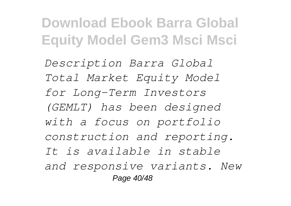*Description Barra Global Total Market Equity Model for Long-Term Investors (GEMLT) has been designed with a focus on portfolio construction and reporting. It is available in stable and responsive variants. New* Page 40/48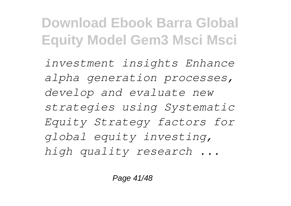*investment insights Enhance alpha generation processes, develop and evaluate new strategies using Systematic Equity Strategy factors for global equity investing, high quality research ...*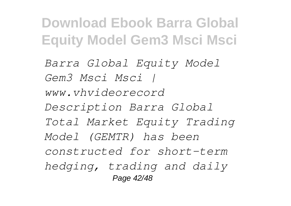*Barra Global Equity Model Gem3 Msci Msci | www.vhvideorecord Description Barra Global Total Market Equity Trading Model (GEMTR) has been constructed for short-term hedging, trading and daily* Page 42/48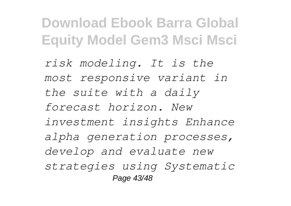*risk modeling. It is the most responsive variant in the suite with a daily forecast horizon. New investment insights Enhance alpha generation processes, develop and evaluate new strategies using Systematic* Page 43/48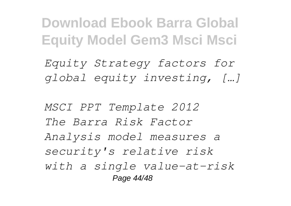*Equity Strategy factors for global equity investing, […]*

*MSCI PPT Template 2012 The Barra Risk Factor Analysis model measures a security's relative risk with a single value-at-risk* Page 44/48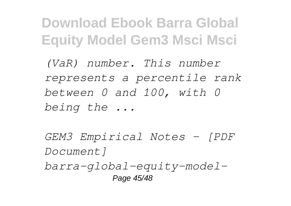*(VaR) number. This number represents a percentile rank between 0 and 100, with 0 being the ...*

*GEM3 Empirical Notes - [PDF Document] barra-global-equity-model-*Page 45/48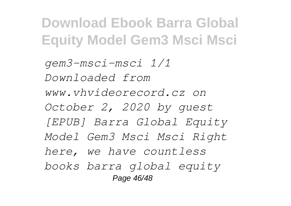*gem3-msci-msci 1/1 Downloaded from www.vhvideorecord.cz on October 2, 2020 by guest [EPUB] Barra Global Equity Model Gem3 Msci Msci Right here, we have countless books barra global equity* Page 46/48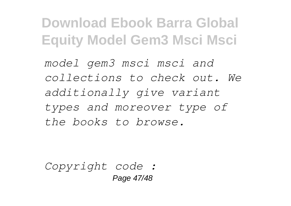*model gem3 msci msci and collections to check out. We additionally give variant types and moreover type of the books to browse.*

*Copyright code :*  Page 47/48